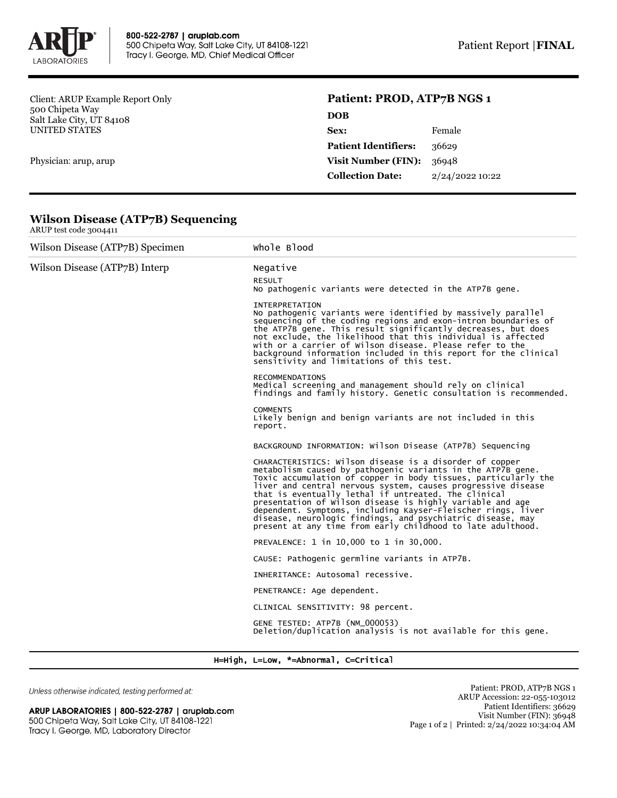

Client: ARUP Example Report Only 500 Chipeta Way Salt Lake City, UT 84108 UNITED STATES

Physician: arup, arup

## **Patient: PROD, ATP7B NGS 1**

| <b>DOB</b>                  |                 |
|-----------------------------|-----------------|
| Sex:                        | Female          |
| <b>Patient Identifiers:</b> | 36629           |
| <b>Visit Number (FIN):</b>  | 36948           |
| <b>Collection Date:</b>     | 2/24/2022 10:22 |
|                             |                 |

| <b>Wilson Disease (ATP7B) Sequencing</b> |  |
|------------------------------------------|--|
| ARUP test code $3004411$                 |  |

| Wilson Disease (ATP7B) Specimen | Whole Blood                                                                                                                                                                                                                                                                                                                                                                                                                                                                                                                                                                |
|---------------------------------|----------------------------------------------------------------------------------------------------------------------------------------------------------------------------------------------------------------------------------------------------------------------------------------------------------------------------------------------------------------------------------------------------------------------------------------------------------------------------------------------------------------------------------------------------------------------------|
| Wilson Disease (ATP7B) Interp   | Negative                                                                                                                                                                                                                                                                                                                                                                                                                                                                                                                                                                   |
|                                 | <b>RESULT</b><br>No pathogenic variants were detected in the ATP7B gene.                                                                                                                                                                                                                                                                                                                                                                                                                                                                                                   |
|                                 | <b>INTERPRETATION</b><br>No pathogenic variants were identified by massively parallel<br>sequencing of the coding regions and exon-intron boundaries of<br>the ATP7B gene. This result significantly decreases, but does<br>not exclude, the likelihood that this individual is affected<br>with or a carrier of Wilson disease. Please refer to the<br>background information included in this report for the clinical<br>sensitivity and limitations of this test.                                                                                                       |
|                                 | <b>RECOMMENDATIONS</b><br>Medical screening and management should rely on clinical<br>findings and family history. Genetic consultation is recommended.                                                                                                                                                                                                                                                                                                                                                                                                                    |
|                                 | <b>COMMENTS</b><br>Likely benign and benign variants are not included in this<br>report.                                                                                                                                                                                                                                                                                                                                                                                                                                                                                   |
|                                 | BACKGROUND INFORMATION: Wilson Disease (ATP7B) Sequencing                                                                                                                                                                                                                                                                                                                                                                                                                                                                                                                  |
|                                 | CHARACTERISTICS: Wilson disease is a disorder of copper<br>metabolism caused by pathogenic variants in the ATP7B gene.<br>Toxic accumulation of copper in body tissues, particularly the<br>liver and central nervous system, causes progressive disease<br>that is eventually lethal if untreated. The clinical<br>presentation of wilson disease is highly variable and age<br>dependent. Symptoms, including Kayser-Fleischer rings, liver<br>disease, neurologic findings, and psychiatric disease, may<br>present at any time from early childhood to late adulthood. |
|                                 | PREVALENCE: 1 in 10,000 to 1 in 30,000.                                                                                                                                                                                                                                                                                                                                                                                                                                                                                                                                    |
|                                 | CAUSE: Pathogenic germline variants in ATP7B.                                                                                                                                                                                                                                                                                                                                                                                                                                                                                                                              |
|                                 | INHERITANCE: Autosomal recessive.                                                                                                                                                                                                                                                                                                                                                                                                                                                                                                                                          |
|                                 | PENETRANCE: Age dependent.                                                                                                                                                                                                                                                                                                                                                                                                                                                                                                                                                 |
|                                 | CLINICAL SENSITIVITY: 98 percent.                                                                                                                                                                                                                                                                                                                                                                                                                                                                                                                                          |
|                                 | GENE TESTED: ATP7B (NM_000053)<br>Deletion/duplication analysis is not available for this gene.                                                                                                                                                                                                                                                                                                                                                                                                                                                                            |

H=High, L=Low, \*=Abnormal, C=Critical

Unless otherwise indicated, testing performed at:

ARUP LABORATORIES | 800-522-2787 | aruplab.com 500 Chipeta Way, Salt Lake City, UT 84108-1221 Tracy I. George, MD, Laboratory Director

Patient: PROD, ATP7B NGS 1 ARUP Accession: 22-055-103012 Patient Identifiers: 36629 Visit Number (FIN): 36948 Page 1 of 2 | Printed: 2/24/2022 10:34:04 AM